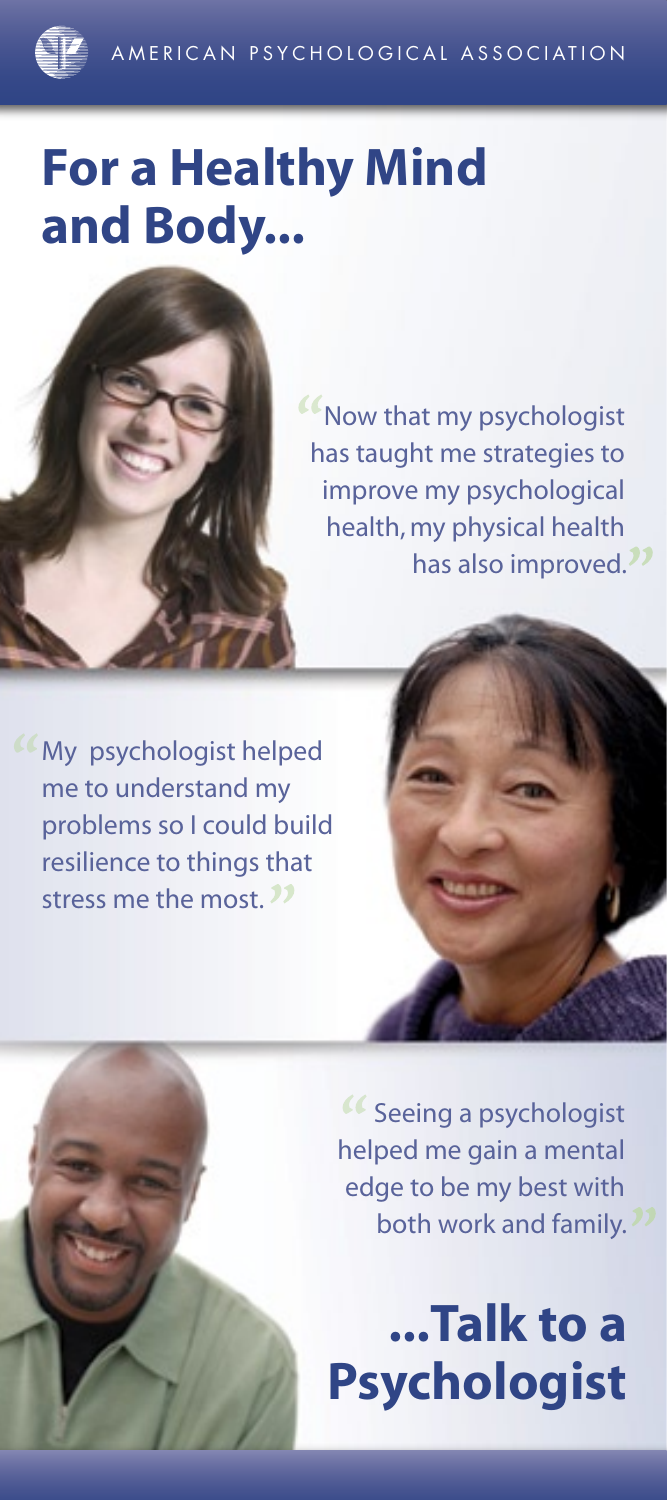# **For a Healthy Mind and Body...**



Now that my psychologist has taught me strategies to improve my psychological health, my physical health has also improved.<sup>11</sup>

**Wy psychologist helped** me to understand my problems so I could build resilience to things that stress me the most.<sup>32</sup>





Seeing a psychologist helped me gain a mental edge to be my best with both work and family.<sup>27</sup>

**...Talk to a Psychologist**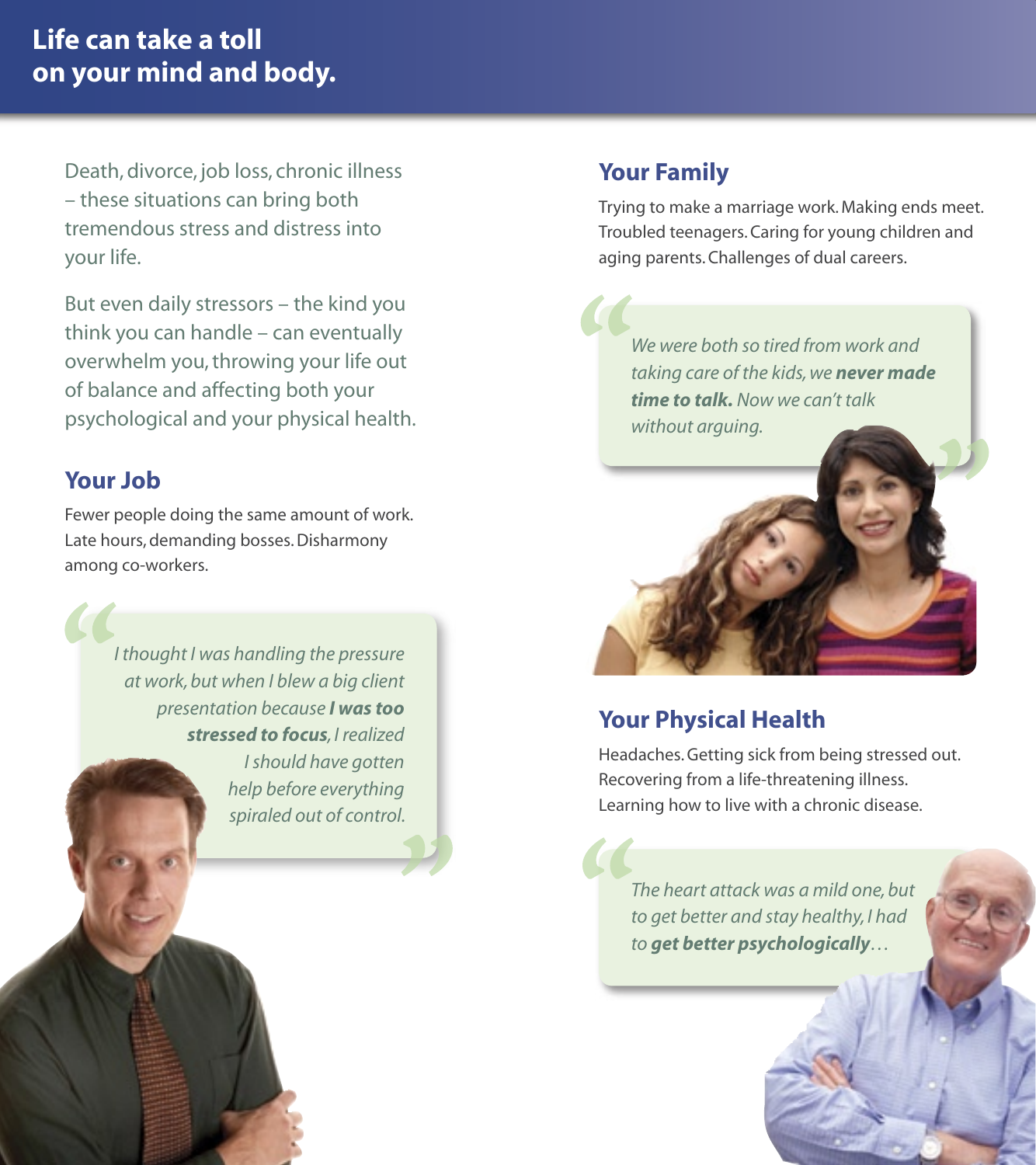# **Life can take a toll on your mind and body.**

Death, divorce, job loss, chronic illness – these situations can bring both tremendous stress and distress into your life.

But even daily stressors – the kind you think you can handle – can eventually overwhelm you, throwing your life out of balance and affecting both your psychological and your physical health.

### **Your Job**

Fewer people doing the same amount of work. Late hours, demanding bosses. Disharmony among co-workers.

> *I thought I was handling the pressure at work, but when I blew a big client presentation because I was too stressed to focus, I realized I should have gotten help before everything spiraled out of control.*

## **Your Family**

Trying to make a marriage work. Making ends meet. Troubled teenagers. Caring for young children and aging parents. Challenges of dual careers.

*We were both so tired from work and taking care of the kids, we never made time to talk. Now we can't talk without arguing.*



# **Your Physical Health**

Headaches. Getting sick from being stressed out. Recovering from a life-threatening illness. Learning how to live with a chronic disease.

*The heart attack was a mild one, but to get better and stay healthy, I had to get better psychologically…*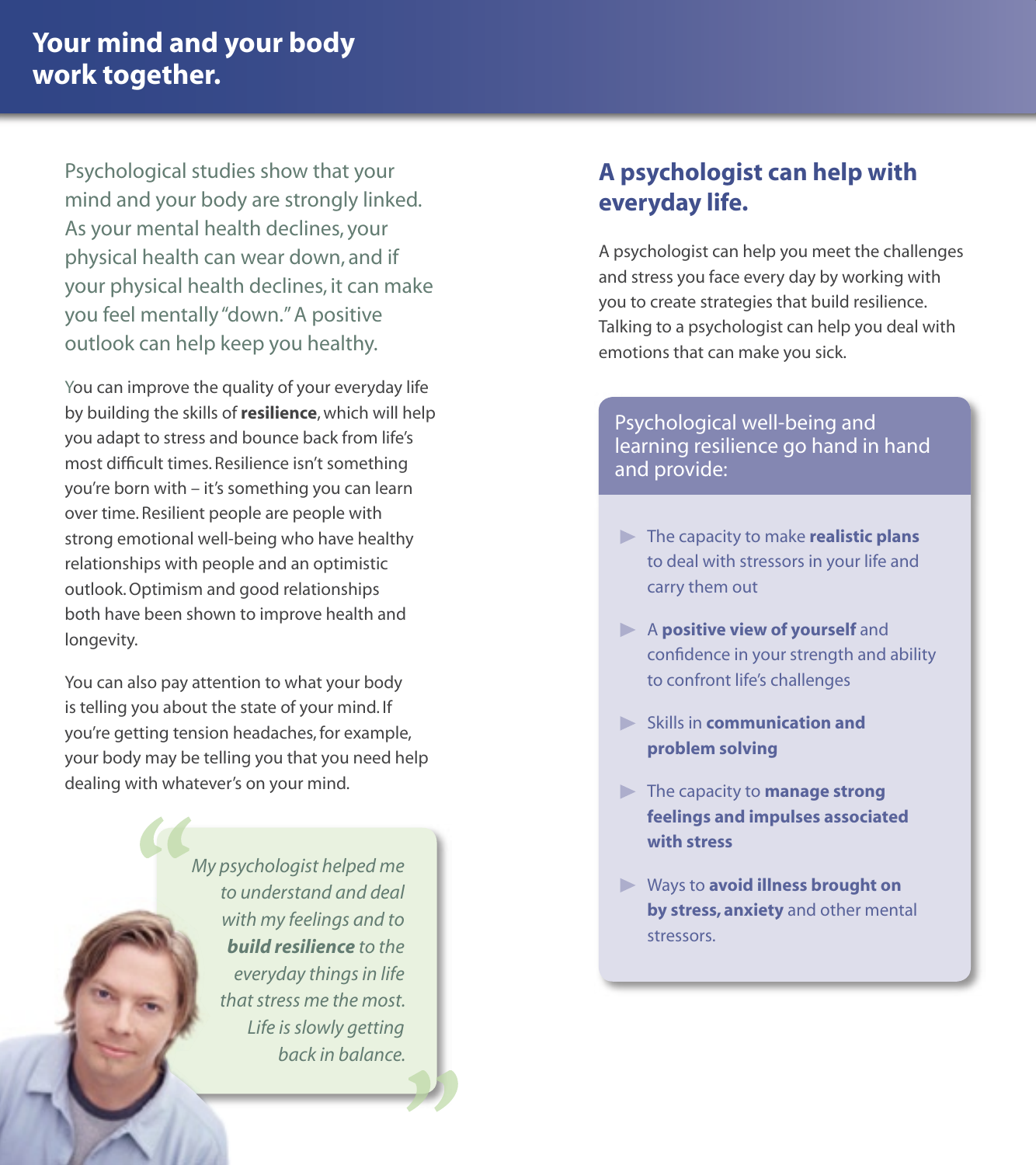Psychological studies show that your mind and your body are strongly linked. As your mental health declines, your physical health can wear down, and if your physical health declines, it can make you feel mentally "down." A positive outlook can help keep you healthy.

You can improve the quality of your everyday life by building the skills of **resilience**, which will help you adapt to stress and bounce back from life's most difficult times. Resilience isn't something you're born with – it's something you can learn over time. Resilient people are people with strong emotional well-being who have healthy relationships with people and an optimistic outlook. Optimism and good relationships both have been shown to improve health and longevity.

You can also pay attention to what your body is telling you about the state of your mind. If you're getting tension headaches, for example, your body may be telling you that you need help dealing with whatever's on your mind.

> *My psychologist helped me to understand and deal with my feelings and to build resilience to the everyday things in life that stress me the most. Life is slowly getting back in balance.*

# **A psychologist can help with everyday life.**

A psychologist can help you meet the challenges and stress you face every day by working with you to create strategies that build resilience. Talking to a psychologist can help you deal with emotions that can make you sick.

### Psychological well-being and learning resilience go hand in hand and provide:

- The capacity to make **realistic plans** to deal with stressors in your life and carry them out
- A **positive view of yourself** and confidence in your strength and ability to confront life's challenges
- Skills in **communication and problem solving**
- The capacity to **manage strong feelings and impulses associated with stress**
- Ways to **avoid illness brought on by stress, anxiety** and other mental stressors.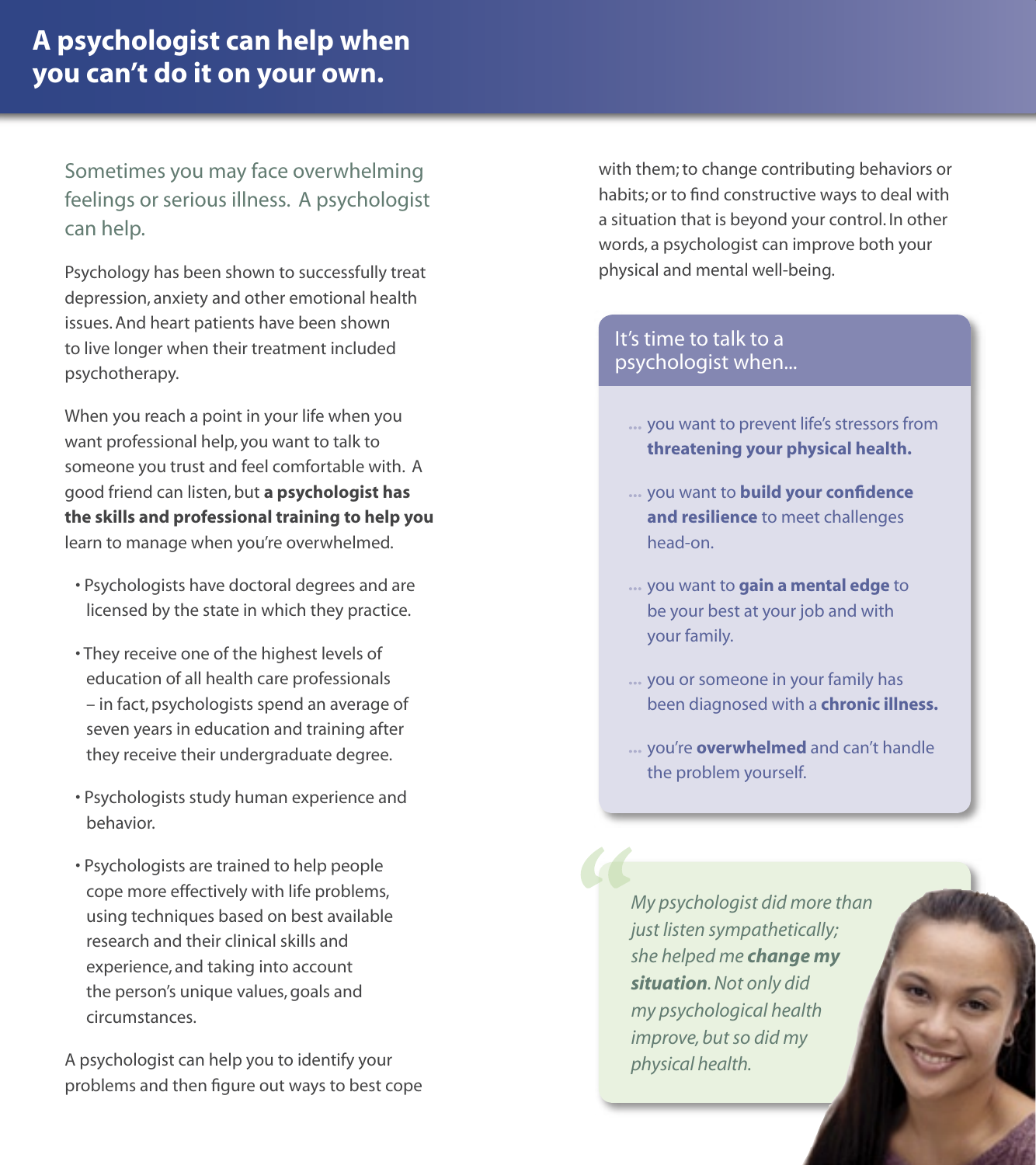# **A psychologist can help when you can't do it on your own.**

Sometimes you may face overwhelming feelings or serious illness. A psychologist can help.

Psychology has been shown to successfully treat depression, anxiety and other emotional health issues. And heart patients have been shown to live longer when their treatment included psychotherapy.

When you reach a point in your life when you want professional help, you want to talk to someone you trust and feel comfortable with. A good friend can listen, but **a psychologist has the skills and professional training to help you** learn to manage when you're overwhelmed.

- Psychologists have doctoral degrees and are licensed by the state in which they practice.
- They receive one of the highest levels of education of all health care professionals – in fact, psychologists spend an average of seven years in education and training after they receive their undergraduate degree.
- Psychologists study human experience and behavior.
- Psychologists are trained to help people cope more effectively with life problems, using techniques based on best available research and their clinical skills and experience, and taking into account the person's unique values, goals and circumstances.

A psychologist can help you to identify your problems and then figure out ways to best cope with them; to change contributing behaviors or habits; or to find constructive ways to deal with a situation that is beyond your control. In other words, a psychologist can improve both your physical and mental well-being.

### It's time to talk to a psychologist when...

- you want to prevent life's stressors from **threatening your physical health.**
- you want to **build your confidence and resilience** to meet challenges head-on.
- you want to **gain a mental edge** to be your best at your job and with your family.
- ... you or someone in your family has been diagnosed with a **chronic illness.**
- you're **overwhelmed** and can't handle the problem yourself.

*My psychologist did more than just listen sympathetically; she helped me change my situation. Not only did my psychological health improve, but so did my physical health.*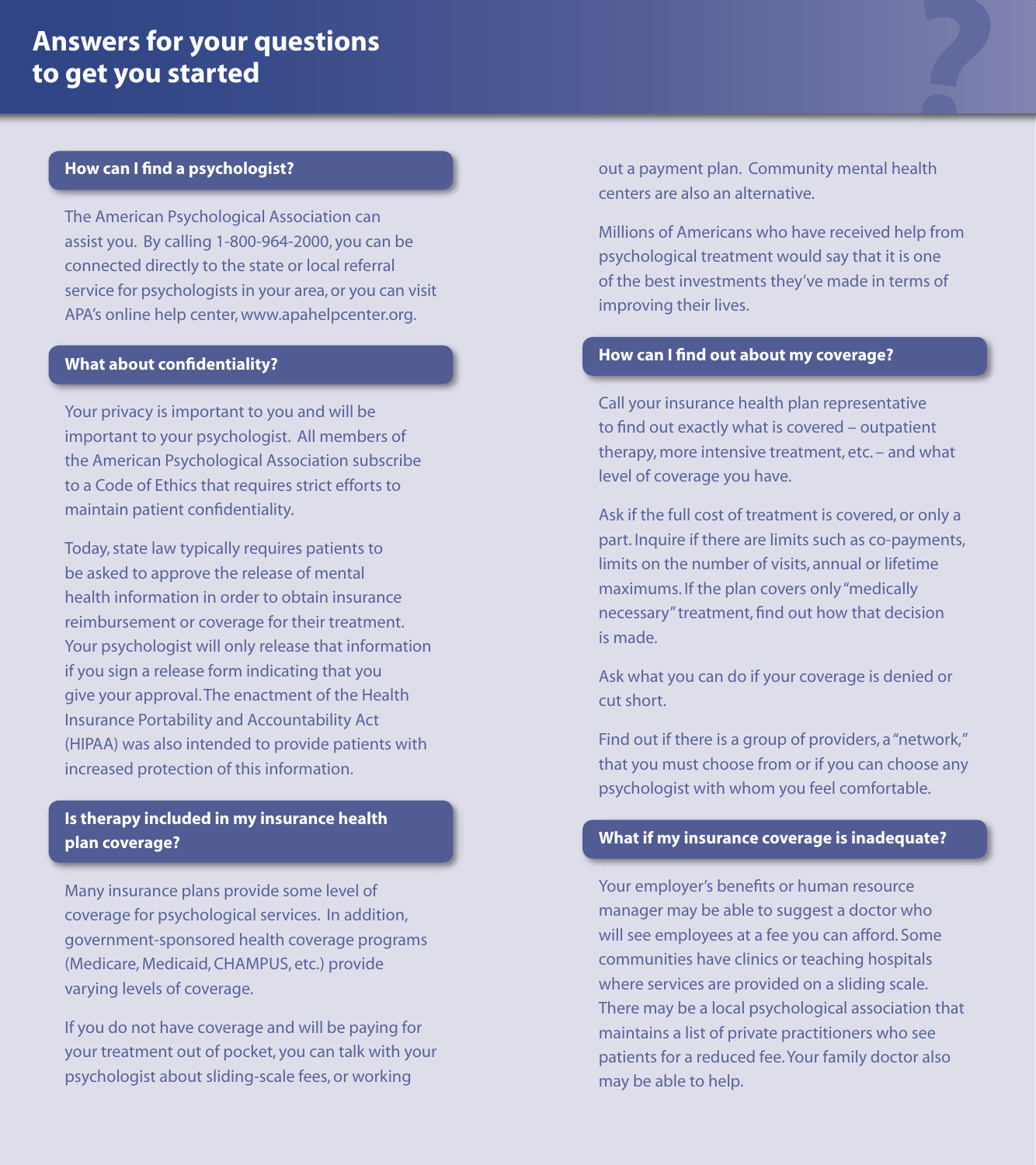# **Answers for your questions to get you started**

#### **How can I find a psychologist?**

The American Psychological Association can assist you. By calling 1-800-964-2000, you can be connected directly to the state or local referral service for psychologists in your area, or you can visit APA's online help center, www.apahelpcenter.org.

#### **What about confidentiality?**

Your privacy is important to you and will be important to your psychologist. All members of the American Psychological Association subscribe to a Code of Ethics that requires strict efforts to maintain patient confidentiality.

Today, state law typically requires patients to be asked to approve the release of mental health information in order to obtain insurance reimbursement or coverage for their treatment. Your psychologist will only release that information if you sign a release form indicating that you give your approval. The enactment of the Health Insurance Portability and Accountability Act (HIPAA) was also intended to provide patients with increased protection of this information.

#### **Is therapy included in my insurance health plan coverage?**

Many insurance plans provide some level of coverage for psychological services. In addition, government-sponsored health coverage programs (Medicare, Medicaid, CHAMPUS, etc.) provide varying levels of coverage.

If you do not have coverage and will be paying for your treatment out of pocket, you can talk with your psychologist about sliding-scale fees, or working

out a payment plan. Community mental health centers are also an alternative.

Millions of Americans who have received help from psychological treatment would say that it is one of the best investments they've made in terms of improving their lives.

#### **How can I find out about my coverage?**

Call your insurance health plan representative to find out exactly what is covered – outpatient therapy, more intensive treatment, etc. – and what level of coverage you have.

Ask if the full cost of treatment is covered, or only a part. Inquire if there are limits such as co-payments, limits on the number of visits, annual or lifetime maximums. If the plan covers only "medically necessary" treatment, find out how that decision is made.

Ask what you can do if your coverage is denied or cut short.

Find out if there is a group of providers, a "network," that you must choose from or if you can choose any psychologist with whom you feel comfortable.

#### **What if my insurance coverage is inadequate?**

Your employer's benefits or human resource manager may be able to suggest a doctor who will see employees at a fee you can afford. Some communities have clinics or teaching hospitals where services are provided on a sliding scale. There may be a local psychological association that maintains a list of private practitioners who see patients for a reduced fee. Your family doctor also may be able to help.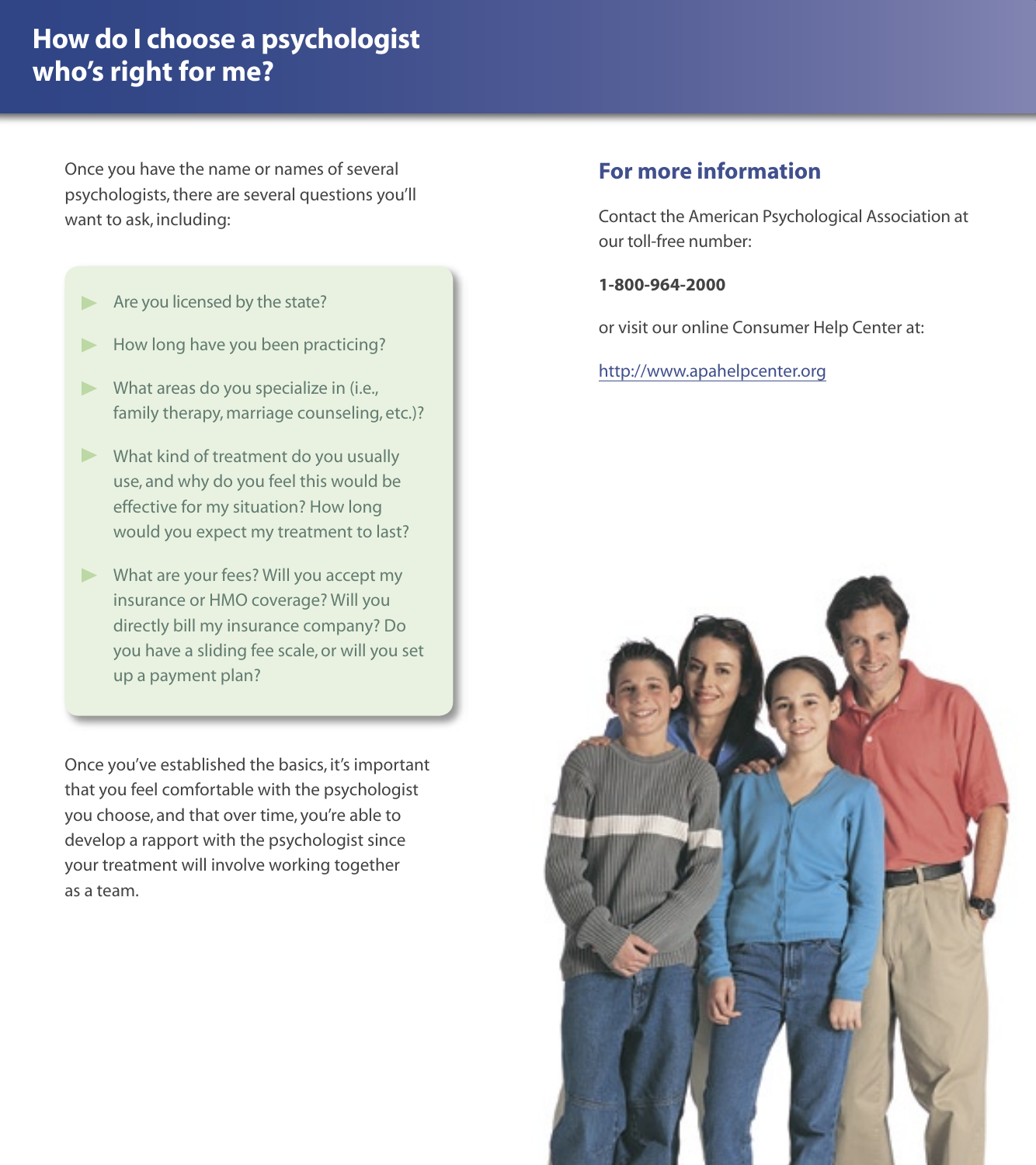# **How do I choose a psychologist who's right for me?**

Once you have the name or names of several psychologists, there are several questions you'll want to ask, including:

- Are you licensed by the state?
- How long have you been practicing?
- What areas do you specialize in (i.e., family therapy, marriage counseling, etc.)?
- What kind of treatment do you usually use, and why do you feel this would be effective for my situation? How long would you expect my treatment to last?
- What are your fees? Will you accept my insurance or HMO coverage? Will you directly bill my insurance company? Do you have a sliding fee scale, or will you set up a payment plan?

Once you've established the basics, it's important that you feel comfortable with the psychologist you choose, and that over time, you're able to develop a rapport with the psychologist since your treatment will involve working together as a team.

### **For more information**

Contact the American Psychological Association at our toll-free number:

#### **1-800-964-2000**

or visit our online Consumer Help Center at:

http://www.apahelpcenter.org